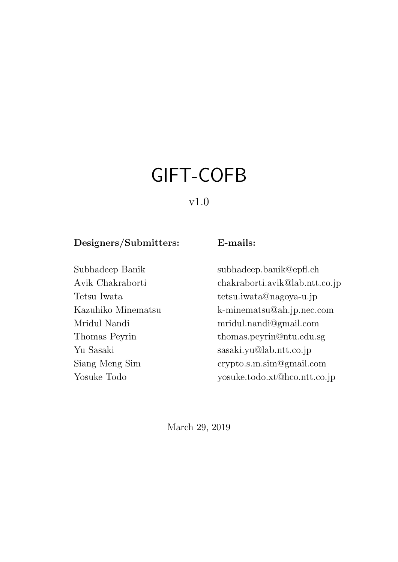# <span id="page-0-0"></span>GIFT-COFB

### v1.0

### Designers/Submitters: E-mails:

Subhadeep Banik subhadeep.banik@epfl.ch Avik Chakraborti chakraborti.avik@lab.ntt.co.jp Tetsu Iwata tetsu.iwata@nagoya-u.jp Kazuhiko Minematsu k-minematsu@ah.jp.nec.com Mridul Nandi mridul.nandi@gmail.com Thomas Peyrin thomas.peyrin@ntu.edu.sg Yu Sasaki sasaki.yu@lab.ntt.co.jp Siang Meng Sim crypto.s.m.sim@gmail.com Yosuke Todo yosuke.todo.xt@hco.ntt.co.jp

March 29, 2019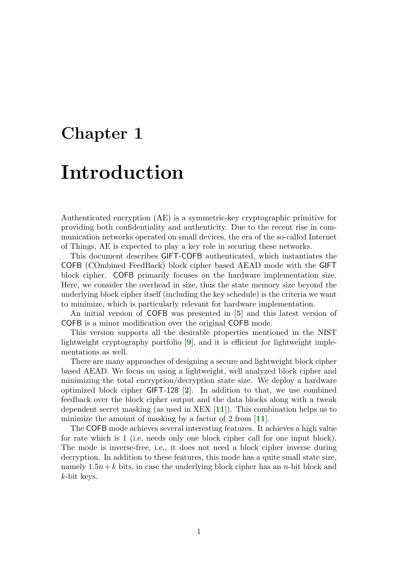# Introduction

Authenticated encryption (AE) is a symmetric-key cryptographic primitive for providing both confidentiality and authenticity. Due to the recent rise in communication networks operated on small devices, the era of the so-called Internet of Things, AE is expected to play a key role in securing these networks.

This document describes GIFT-COFB authenticated, which instantiates the COFB (COmbined FeedBack) block cipher based AEAD mode with the GIFT block cipher. COFB primarily focuses on the hardware implementation size. Here, we consider the overhead in size, thus the state memory size beyond the underlying block cipher itself (including the key schedule) is the criteria we want to minimize, which is particularly relevant for hardware implementation.

An initial version of COFB was presented in [[5](#page-0-0)] and this latest version of COFB is a minor modification over the original COFB mode.

This version supports all the desirable properties mentioned in the NIST lightweight cryptography portfolio [[9](#page-0-0)], and it is efficient for lightweight implementations as well.

There are many approaches of designing a secure and lightweight block cipher based AEAD. We focus on using a lightweight, well analyzed block cipher and minimizing the total encryption/decryption state size. We deploy a hardware optimized block cipher GIFT-128 [[2](#page-0-0)]. In addition to that, we use combined feedback over the block cipher output and the data blocks along with a tweak dependent secret masking (as used in XEX  $[11]$  $[11]$  $[11]$ ). This combination helps us to minimize the amount of masking by a factor of 2 from  $[11]$  $[11]$  $[11]$ .

The COFB mode achieves several interesting features. It achieves a high value for rate which is 1 (i.e, needs only one block cipher call for one input block). The mode is inverse-free, i.e., it does not need a block cipher inverse during decryption. In addition to these features, this mode has a quite small state size, namely  $1.5n+k$  bits, in case the underlying block cipher has an *n*-bit block and k-bit keys.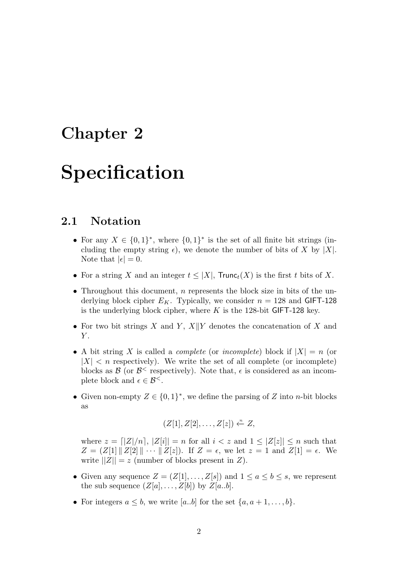# Specification

### 2.1 Notation

- For any  $X \in \{0,1\}^*$ , where  $\{0,1\}^*$  is the set of all finite bit strings (including the empty string  $\epsilon$ ), we denote the number of bits of X by |X|. Note that  $|\epsilon| = 0$ .
- For a string X and an integer  $t \leq |X|$ , Trunc<sub>t</sub>(X) is the first t bits of X.
- Throughout this document, *n* represents the block size in bits of the underlying block cipher  $E_K$ . Typically, we consider  $n = 128$  and GIFT-128 is the underlying block cipher, where  $K$  is the 128-bit GIFT-128 key.
- For two bit strings X and Y,  $X||Y$  denotes the concatenation of X and  $Y$ .
- A bit string X is called a *complete* (or *incomplete*) block if  $|X| = n$  (or  $|X| < n$  respectively). We write the set of all complete (or incomplete) blocks as  $\mathcal{B}$  (or  $\mathcal{B}^{\leq}$  respectively). Note that,  $\epsilon$  is considered as an incomplete block and  $\epsilon \in \mathcal{B}^{\leq}$ .
- Given non-empty  $Z \in \{0,1\}^*$ , we define the parsing of Z into *n*-bit blocks as

$$
(Z[1], Z[2], \ldots, Z[z]) \xleftarrow{\cdot n} Z,
$$

where  $z = \lfloor |Z|/n \rfloor$ ,  $|Z[i]| = n$  for all  $i < z$  and  $1 \leq |Z[z]| \leq n$  such that  $Z = (Z[1] \| Z[2] \| \cdots \| Z[z])$ . If  $Z = \epsilon$ , we let  $z = 1$  and  $Z[1] = \epsilon$ . We write  $||Z|| = z$  (number of blocks present in Z).

- Given any sequence  $Z = (Z[1], \ldots, Z[s])$  and  $1 \le a \le b \le s$ , we represent the sub sequence  $(Z[a], \ldots, Z[b])$  by  $Z[a..b]$ .
- For integers  $a \leq b$ , we write [a..b] for the set  $\{a, a+1, \ldots, b\}$ .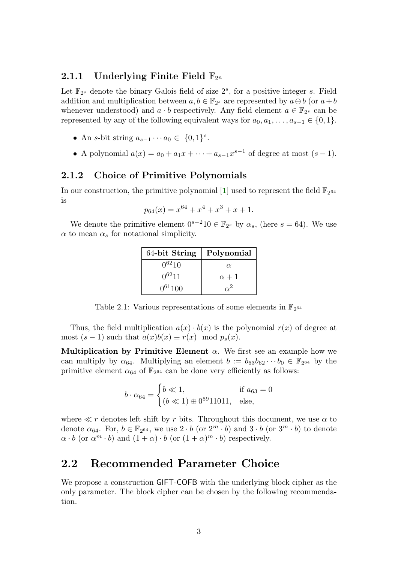### 2.1.1 Underlying Finite Field  $\mathbb{F}_{2^n}$

Let  $\mathbb{F}_{2^s}$  denote the binary Galois field of size  $2^s$ , for a positive integer s. Field addition and multiplication between  $a, b \in \mathbb{F}_{2^s}$  are represented by  $a \oplus b$  (or  $a + b$ ) whenever understood) and  $a \cdot b$  respectively. Any field element  $a \in \mathbb{F}_{2^s}$  can be represented by any of the following equivalent ways for  $a_0, a_1, \ldots, a_{s-1} \in \{0, 1\}.$ 

- An s-bit string  $a_{s-1} \cdots a_0 \in \{0,1\}^s$ .
- A polynomial  $a(x) = a_0 + a_1x + \cdots + a_{s-1}x^{s-1}$  of degree at most  $(s-1)$ .

#### 2.1.2 Choice of Primitive Polynomials

In our construction, the primitive polynomial [[1](#page-0-0)] used to represent the field  $\mathbb{F}_{2^{64}}$ is

$$
p_{64}(x) = x^{64} + x^4 + x^3 + x + 1.
$$

We denote the primitive element  $0^{s-2}10 \in \mathbb{F}_{2^s}$  by  $\alpha_s$ , (here  $s = 64$ ). We use  $\alpha$  to mean  $\alpha_s$  for notational simplicity.

| 64-bit String | Polynomial   |
|---------------|--------------|
| $0^{62}10$    | $\alpha$     |
| $0^{62}11$    | $\alpha + 1$ |
| $0^{61}100$   |              |

Table 2.1: Various representations of some elements in  $\mathbb{F}_{2^{64}}$ 

Thus, the field multiplication  $a(x) \cdot b(x)$  is the polynomial  $r(x)$  of degree at most  $(s-1)$  such that  $a(x)b(x) \equiv r(x) \mod p_s(x)$ .

Multiplication by Primitive Element  $\alpha$ . We first see an example how we can multiply by  $\alpha_{64}$ . Multiplying an element  $b := b_{63}b_{62}\cdots b_0 \in \mathbb{F}_{2^{64}}$  by the primitive element  $\alpha_{64}$  of  $\mathbb{F}_{2^{64}}$  can be done very efficiently as follows:

$$
b \cdot \alpha_{64} = \begin{cases} b \ll 1, & \text{if } a_{63} = 0 \\ (b \ll 1) \oplus 0^{59} 11011, & \text{else,} \end{cases}
$$

where  $\ll r$  denotes left shift by r bits. Throughout this document, we use  $\alpha$  to denote  $\alpha_{64}$ . For,  $b \in \mathbb{F}_{2^{64}}$ , we use  $2 \cdot b$  (or  $2^m \cdot b$ ) and  $3 \cdot b$  (or  $3^m \cdot b$ ) to denote  $\alpha \cdot b$  (or  $\alpha^m \cdot b$ ) and  $(1 + \alpha) \cdot b$  (or  $(1 + \alpha)^m \cdot b$ ) respectively.

### 2.2 Recommended Parameter Choice

We propose a construction GIFT-COFB with the underlying block cipher as the only parameter. The block cipher can be chosen by the following recommendation.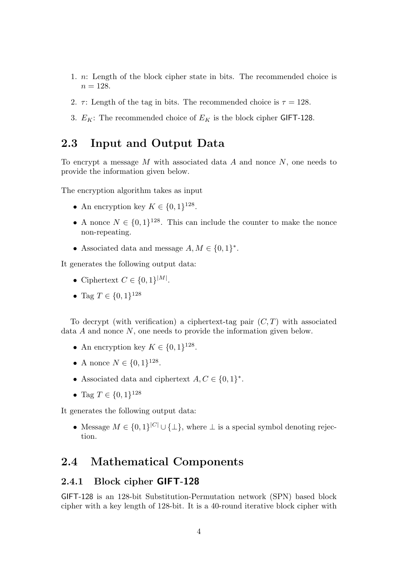- 1. n: Length of the block cipher state in bits. The recommended choice is  $n = 128.$
- 2.  $\tau$ : Length of the tag in bits. The recommended choice is  $\tau = 128$ .
- 3.  $E_K$ : The recommended choice of  $E_K$  is the block cipher GIFT-128.

### 2.3 Input and Output Data

To encrypt a message  $M$  with associated data  $A$  and nonce  $N$ , one needs to provide the information given below.

The encryption algorithm takes as input

- An encryption key  $K \in \{0,1\}^{128}$ .
- A nonce  $N \in \{0,1\}^{128}$ . This can include the counter to make the nonce non-repeating.
- Associated data and message  $A, M \in \{0,1\}^*$ .

It generates the following output data:

- Ciphertext  $C \in \{0,1\}^{|M|}$ .
- Tag  $T \in \{0, 1\}^{128}$

To decrypt (with verification) a ciphertext-tag pair  $(C, T)$  with associated data A and nonce N, one needs to provide the information given below.

- An encryption key  $K \in \{0,1\}^{128}$ .
- A nonce  $N \in \{0, 1\}^{128}$ .
- Associated data and ciphertext  $A, C \in \{0, 1\}^*$ .
- Tag  $T \in \{0,1\}^{128}$

It generates the following output data:

• Message  $M \in \{0,1\}^{|C|} \cup \{\perp\}$ , where  $\perp$  is a special symbol denoting rejection.

### 2.4 Mathematical Components

#### 2.4.1 Block cipher GIFT-128

GIFT-128 is an 128-bit Substitution-Permutation network (SPN) based block cipher with a key length of 128-bit. It is a 40-round iterative block cipher with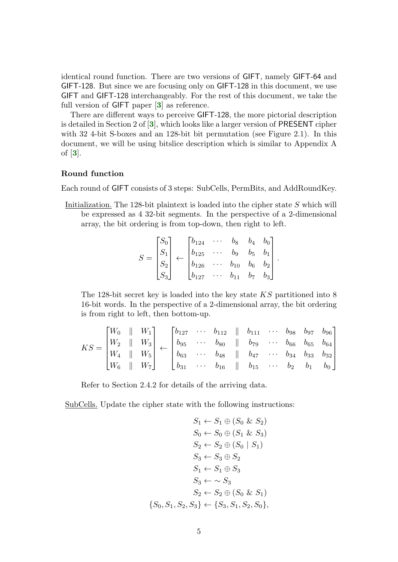identical round function. There are two versions of GIFT, namely GIFT-64 and GIFT-128. But since we are focusing only on GIFT-128 in this document, we use GIFT and GIFT-128 interchangeably. For the rest of this document, we take the full version of GIFT paper [[3](#page-0-0)] as reference.

There are different ways to perceive GIFT-128, the more pictorial description is detailed in Section 2 of [[3](#page-0-0)], which looks like a larger version of PRESENT cipher with 32 4-bit S-boxes and an 128-bit bit permutation (see Figure 2.1). In this document, we will be using bitslice description which is similar to Appendix A of [[3](#page-0-0)].

#### Round function

Each round of GIFT consists of 3 steps: SubCells, PermBits, and AddRoundKey.

Initialization. The 128-bit plaintext is loaded into the cipher state S which will be expressed as 4 32-bit segments. In the perspective of a 2-dimensional array, the bit ordering is from top-down, then right to left.

$$
S = \begin{bmatrix} S_0 \\ S_1 \\ S_2 \\ S_3 \end{bmatrix} \leftarrow \begin{bmatrix} b_{124} & \cdots & b_8 & b_4 & b_0 \\ b_{125} & \cdots & b_9 & b_5 & b_1 \\ b_{126} & \cdots & b_{10} & b_6 & b_2 \\ b_{127} & \cdots & b_{11} & b_7 & b_3 \end{bmatrix}.
$$

The 128-bit secret key is loaded into the key state KS partitioned into 8 16-bit words. In the perspective of a 2-dimensional array, the bit ordering is from right to left, then bottom-up.

$$
KS = \begin{bmatrix} W_0 & \parallel & W_1 \\ W_2 & \parallel & W_3 \\ W_4 & \parallel & W_5 \\ W_6 & \parallel & W_7 \end{bmatrix} \leftarrow \begin{bmatrix} b_{127} & \cdots & b_{112} & \parallel & b_{111} & \cdots & b_{98} & b_{97} & b_{96} \\ b_{95} & \cdots & b_{80} & \parallel & b_{79} & \cdots & b_{66} & b_{65} & b_{64} \\ b_{63} & \cdots & b_{48} & \parallel & b_{47} & \cdots & b_{34} & b_{33} & b_{32} \\ b_{31} & \cdots & b_{16} & \parallel & b_{15} & \cdots & b_{2} & b_{1} & b_{0} \end{bmatrix}
$$

Refer to Section 2.4.2 for details of the arriving data.

SubCells. Update the cipher state with the following instructions:

$$
S_1 \leftarrow S_1 \oplus (S_0 \& S_2)
$$
\n
$$
S_0 \leftarrow S_0 \oplus (S_1 \& S_3)
$$
\n
$$
S_2 \leftarrow S_2 \oplus (S_0 \mid S_1)
$$
\n
$$
S_3 \leftarrow S_3 \oplus S_2
$$
\n
$$
S_1 \leftarrow S_1 \oplus S_3
$$
\n
$$
S_3 \leftarrow \sim S_3
$$
\n
$$
S_2 \leftarrow S_2 \oplus (S_0 \& S_1)
$$
\n
$$
\{S_0, S_1, S_2, S_3\} \leftarrow \{S_3, S_1, S_2, S_0\},
$$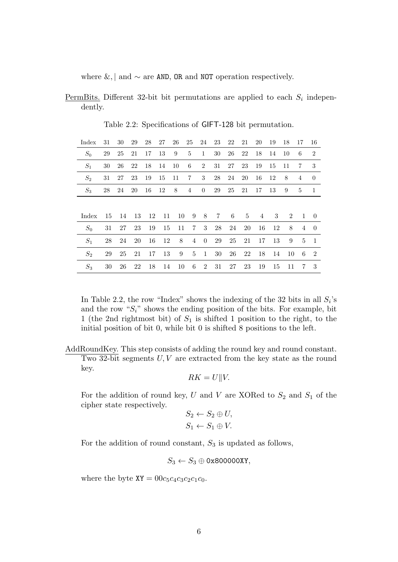where  $\&$ , | and  $\sim$  are AND, OR and NOT operation respectively.

<u>PermBits</u>. Different 32-bit bit permutations are applied to each  $S_i$  independently.

| Index | 31  | 30 | 29 | 28 | 27            | 26             | 25              | 24             | 23         | 22  | 21    | 20 | 19  | 18 | 17             | 16              |
|-------|-----|----|----|----|---------------|----------------|-----------------|----------------|------------|-----|-------|----|-----|----|----------------|-----------------|
| $S_0$ | 29  | 25 | 21 | 17 | 13            | 9              | $5^{\circ}$     | 1              | 30         | 26  | 22    | 18 | 14  | 10 | 6              | $\overline{2}$  |
| $S_1$ | 30  | 26 | 22 | 18 | 14            | 10             | 6               | $\overline{2}$ | 31         | 27  | 23    | 19 | 15  | 11 | $\overline{7}$ | 3               |
| $S_2$ | 31  | 27 | 23 | 19 | 15            | 11             | $7\phantom{.0}$ | 3 <sup>1</sup> | 28         | 24  | 20    | 16 | -12 | 8  | $\overline{4}$ | $\overline{0}$  |
| $S_3$ | 28  | 24 | 20 | 16 | 12            | 8 <sup>8</sup> | $\overline{4}$  | $\overline{0}$ | 29         | 25  | 21    | 17 | 13  | 9  | $\frac{5}{2}$  | -1              |
|       |     |    |    |    |               |                |                 |                |            |     |       |    |     |    |                |                 |
| Index | -15 | 14 | 13 | 12 | 11            | 10             | 9               | 8              | $7\degree$ | - 6 | $5 -$ | 4  | 3   | 2  | $\overline{1}$ | $\overline{0}$  |
| $S_0$ | 31  | 27 | 23 | 19 | 15            | 11             | 7               | 3              | 28         | 24  | 20    | 16 | 12  | 8  | 4              | $\theta$        |
| $S_1$ | 28  | 24 | 20 | 16 | <sup>12</sup> | 8              | 4               | $\overline{0}$ | 29         | 25  | 21    | 17 | -13 | 9  | $5^{\circ}$    | $\overline{1}$  |
| $S_2$ | 29  | 25 | 21 | 17 | 13            | 9              | $\overline{5}$  | $\mathbf{1}$   | 30         | 26  | 22    | 18 | 14  | 10 | -6             | - 2             |
| $S_3$ | 30  | 26 | 22 | 18 | 14            | 10             | - 6             | 2              | 31         | 27  | 23    | 19 | 15  | 11 | 7              | $3\phantom{.0}$ |

Table 2.2: Specifications of GIFT-128 bit permutation.

In Table 2.2, the row "Index" shows the indexing of the 32 bits in all  $S_i$ 's and the row " $S_i$ " shows the ending position of the bits. For example, bit 1 (the 2nd rightmost bit) of  $S_1$  is shifted 1 position to the right, to the initial position of bit 0, while bit 0 is shifted 8 positions to the left.

AddRoundKey. This step consists of adding the round key and round constant. Two 32-bit segments U, V are extracted from the key state as the round key.

$$
RK = U || V.
$$

For the addition of round key, U and V are XORed to  $S_2$  and  $S_1$  of the cipher state respectively.

$$
S_2 \leftarrow S_2 \oplus U,
$$
  

$$
S_1 \leftarrow S_1 \oplus V.
$$

For the addition of round constant,  $S_3$  is updated as follows,

$$
S_3 \leftarrow S_3 \oplus \texttt{0x800000XY},
$$

where the byte  $XY = 00c_5c_4c_3c_2c_1c_0$ .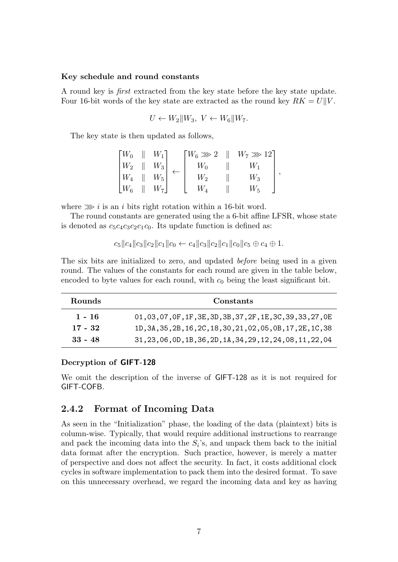#### Key schedule and round constants

A round key is first extracted from the key state before the key state update. Four 16-bit words of the key state are extracted as the round key  $RK = U||V$ .

$$
U \leftarrow W_2 || W_3, V \leftarrow W_6 || W_7.
$$

The key state is then updated as follows,

| $\lceil W_0 \rceil$        | $W_1$ | $\lceil W_6 \ggg 2 \rceil$ | $W_7 \ggg 12$ |  |
|----------------------------|-------|----------------------------|---------------|--|
| $^{\mathsf{I}} \, W_{2}$ . | $W_3$ | $W_0$                      | $W_1$         |  |
| $\lfloor W_4 \rfloor$      | $W_5$ | $W_2$                      | $W_3$         |  |
| $\lfloor W_6 \rfloor$      | $W_7$ |                            | $W_5$         |  |

where  $\gg$  *i* is an *i* bits right rotation within a 16-bit word.

The round constants are generated using the a 6-bit affine LFSR, whose state is denoted as  $c_5c_4c_3c_2c_1c_0$ . Its update function is defined as:

$$
c_5||c_4||c_3||c_2||c_1||c_0 \leftarrow c_4||c_3||c_2||c_1||c_0||c_5 \oplus c_4 \oplus 1.
$$

The six bits are initialized to zero, and updated before being used in a given round. The values of the constants for each round are given in the table below, encoded to byte values for each round, with  $c_0$  being the least significant bit.

| Rounds    | Constants                                                      |
|-----------|----------------------------------------------------------------|
| $1 - 16$  | 01, 03, 07, 0F, 1F, 3E, 3D, 3B, 37, 2F, 1E, 3C, 39, 33, 27, 0E |
| $17 - 32$ | 1D, 3A, 35, 2B, 16, 2C, 18, 30, 21, 02, 05, 0B, 17, 2E, 1C, 38 |
| $33 - 48$ | 31, 23, 06, 0D, 1B, 36, 2D, 1A, 34, 29, 12, 24, 08, 11, 22, 04 |

#### Decryption of GIFT-128

We omit the description of the inverse of GIFT-128 as it is not required for GIFT-COFB.

#### 2.4.2 Format of Incoming Data

As seen in the "Initialization" phase, the loading of the data (plaintext) bits is column-wise. Typically, that would require additional instructions to rearrange and pack the incoming data into the  $S_i$ 's, and unpack them back to the initial data format after the encryption. Such practice, however, is merely a matter of perspective and does not affect the security. In fact, it costs additional clock cycles in software implementation to pack them into the desired format. To save on this unnecessary overhead, we regard the incoming data and key as having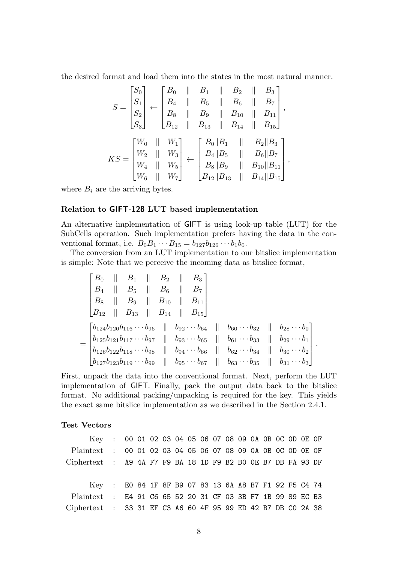the desired format and load them into the states in the most natural manner.

$$
S = \begin{bmatrix} S_0 \\ S_1 \\ S_2 \\ S_3 \end{bmatrix} \leftarrow \begin{bmatrix} B_0 & \parallel & B_1 & \parallel & B_2 & \parallel & B_3 \\ B_4 & \parallel & B_5 & \parallel & B_6 & \parallel & B_7 \\ B_8 & \parallel & B_9 & \parallel & B_{10} & \parallel & B_{11} \\ B_{12} & \parallel & B_{13} & \parallel & B_{14} & \parallel & B_{15} \end{bmatrix},
$$
  

$$
KS = \begin{bmatrix} W_0 & \parallel & W_1 \\ W_2 & \parallel & W_3 \\ W_4 & \parallel & W_5 \\ W_6 & \parallel & W_7 \end{bmatrix} \leftarrow \begin{bmatrix} B_0 \parallel B_1 & \parallel & B_2 \parallel B_3 \\ B_4 \parallel B_5 & \parallel & B_6 \parallel B_7 \\ B_8 \parallel B_9 & \parallel & B_{10} \parallel B_{11} \\ B_{12} \parallel B_{13} & \parallel & B_{14} \parallel B_{15} \end{bmatrix},
$$

where  $B_i$  are the arriving bytes.

#### Relation to GIFT-128 LUT based implementation

An alternative implementation of GIFT is using look-up table (LUT) for the SubCells operation. Such implementation prefers having the data in the conventional format, i.e.  $B_0B_1 \cdots B_{15} = b_{127}b_{126} \cdots b_1b_0$ .

The conversion from an LUT implementation to our bitslice implementation is simple: Note that we perceive the incoming data as bitslice format,

$$
\begin{bmatrix}\nB_0 & \| & B_1 & \| & B_2 & \| & B_3 \\
B_4 & \| & B_5 & \| & B_6 & \| & B_7 \\
B_8 & \| & B_9 & \| & B_{10} & \| & B_{11} \\
B_{12} & \| & B_{13} & \| & B_{14} & \| & B_{15}\n\end{bmatrix}
$$
\n
$$
= \begin{bmatrix}\nb_{124}b_{120}b_{116}\cdots b_{96} & \| & b_{92}\cdots b_{64} & \| & b_{60}\cdots b_{32} & \| & b_{28}\cdots b_{0} \\
b_{125}b_{121}b_{117}\cdots b_{97} & \| & b_{93}\cdots b_{65} & \| & b_{61}\cdots b_{33} & \| & b_{29}\cdots b_{1} \\
b_{126}b_{122}b_{118}\cdots b_{98} & \| & b_{94}\cdots b_{66} & \| & b_{62}\cdots b_{34} & \| & b_{30}\cdots b_{2} \\
b_{127}b_{123}b_{119}\cdots b_{99} & \| & b_{95}\cdots b_{67} & \| & b_{63}\cdots b_{35} & \| & b_{31}\cdots b_{3}\n\end{bmatrix}.
$$

First, unpack the data into the conventional format. Next, perform the LUT implementation of GIFT. Finally, pack the output data back to the bitslice format. No additional packing/unpacking is required for the key. This yields the exact same bitslice implementation as we described in the Section 2.4.1.

#### Test Vectors

| Key : 00 01 02 03 04 05 06 07 08 09 0A 0B 0C 0D 0E OF        |  |  |  |  |  |  |  |  |  |
|--------------------------------------------------------------|--|--|--|--|--|--|--|--|--|
| Plaintext : 00 01 02 03 04 05 06 07 08 09 0A 0B 0C 0D 0E 0F  |  |  |  |  |  |  |  |  |  |
| Ciphertext : A9 4A F7 F9 BA 18 1D F9 B2 B0 OE B7 DB FA 93 DF |  |  |  |  |  |  |  |  |  |
|                                                              |  |  |  |  |  |  |  |  |  |
| Key : E0 84 1F 8F B9 07 83 13 6A A8 B7 F1 92 F5 C4 74        |  |  |  |  |  |  |  |  |  |
| Plaintext : E4 91 C6 65 52 20 31 CF 03 3B F7 1B 99 89 EC B3  |  |  |  |  |  |  |  |  |  |
| Ciphertext : 33 31 EF C3 A6 60 4F 95 99 ED 42 B7 DB C0 2A 38 |  |  |  |  |  |  |  |  |  |
|                                                              |  |  |  |  |  |  |  |  |  |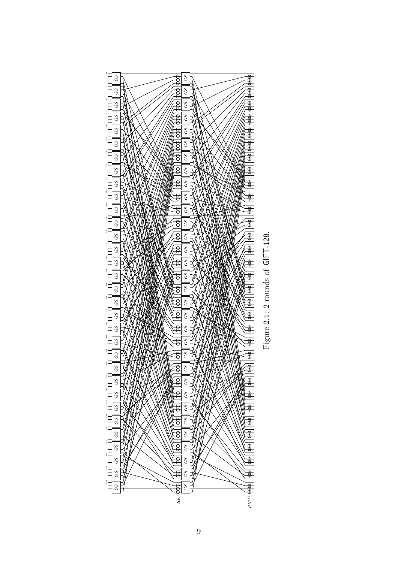

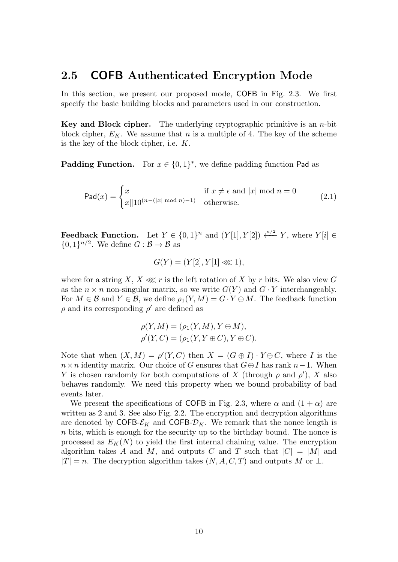### 2.5 COFB Authenticated Encryption Mode

In this section, we present our proposed mode, COFB in Fig. 2.3. We first specify the basic building blocks and parameters used in our construction.

**Key and Block cipher.** The underlying cryptographic primitive is an *n*-bit block cipher,  $E_K$ . We assume that n is a multiple of 4. The key of the scheme is the key of the block cipher, i.e. K.

**Padding Function.** For  $x \in \{0,1\}^*$ , we define padding function Pad as

$$
\text{Pad}(x) = \begin{cases} x & \text{if } x \neq \epsilon \text{ and } |x| \text{ mod } n = 0\\ x \| 10^{(n - (|x| \text{ mod } n) - 1)} & \text{otherwise.} \end{cases}
$$
(2.1)

**Feedback Function.** Let  $Y \in \{0,1\}^n$  and  $(Y[1], Y[2]) \stackrel{n/2}{\longleftarrow} Y$ , where  $Y[i] \in$  $\{0,1\}^{n/2}$ . We define  $G : \mathcal{B} \to \mathcal{B}$  as

$$
G(Y) = (Y[2], Y[1] \lll 1),
$$

where for a string X,  $X \lll r$  is the left rotation of X by r bits. We also view G as the  $n \times n$  non-singular matrix, so we write  $G(Y)$  and  $G \cdot Y$  interchangeably. For  $M \in \mathcal{B}$  and  $Y \in \mathcal{B}$ , we define  $\rho_1(Y, M) = G \cdot Y \oplus M$ . The feedback function  $\rho$  and its corresponding  $\rho'$  are defined as

$$
\rho(Y, M) = (\rho_1(Y, M), Y \oplus M),
$$
  

$$
\rho'(Y, C) = (\rho_1(Y, Y \oplus C), Y \oplus C).
$$

Note that when  $(X, M) = \rho'(Y, C)$  then  $X = (G \oplus I) \cdot Y \oplus C$ , where I is the  $n \times n$  identity matrix. Our choice of G ensures that  $G \oplus I$  has rank  $n-1$ . When Y is chosen randomly for both computations of X (through  $\rho$  and  $\rho'$ ), X also behaves randomly. We need this property when we bound probability of bad events later.

We present the specifications of COFB in Fig. 2.3, where  $\alpha$  and  $(1 + \alpha)$  are written as 2 and 3. See also Fig. 2.2. The encryption and decryption algorithms are denoted by COFB- $\mathcal{E}_K$  and COFB- $\mathcal{D}_K$ . We remark that the nonce length is n bits, which is enough for the security up to the birthday bound. The nonce is processed as  $E_K(N)$  to yield the first internal chaining value. The encryption algorithm takes A and M, and outputs C and T such that  $|C| = |M|$  and  $|T| = n$ . The decryption algorithm takes  $(N, A, C, T)$  and outputs M or  $\perp$ .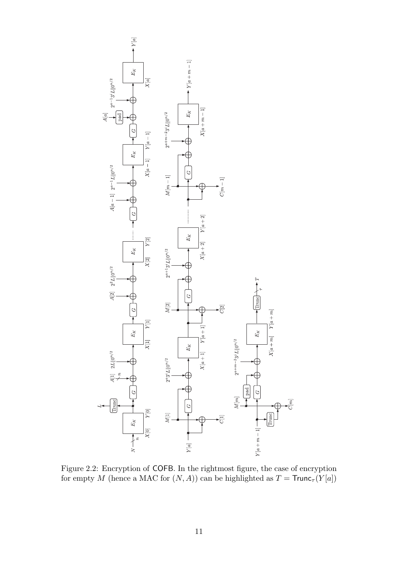

Figure 2.2: Encryption of COFB. In the rightmost figure, the case of encryption for empty  $M$  (hence a MAC for  $(N,A))$  can be highlighted as  $T = {\sf Trunc}_\tau(Y[a])$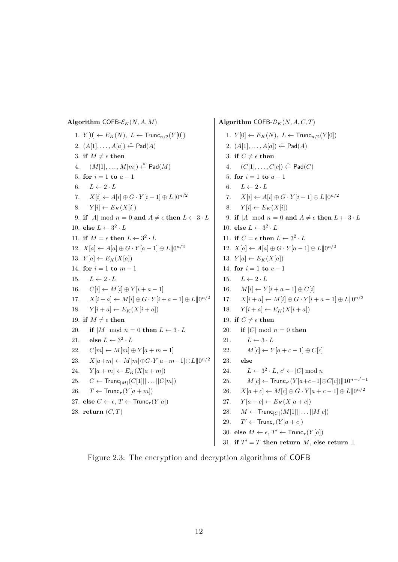Algorithm COFB- $\mathcal{E}_K(N, A, M)$ 1.  $Y[0] \leftarrow E_K(N), L \leftarrow \text{Trunc}_{n/2}(Y[0])$ 2.  $(A[1], \ldots, A[a]) \stackrel{n}{\leftarrow} \textsf{Pad}(A)$ 3. if  $M \neq \epsilon$  then 4.  $(M[1], \ldots, M[m]) \stackrel{n}{\leftarrow} \text{Pad}(M)$ 5. for  $i = 1$  to  $a - 1$ 6.  $L \leftarrow 2 \cdot L$ 7.  $X[i] \leftarrow A[i] \oplus G \cdot Y[i-1] \oplus L\|0^{n/2}$ 8.  $Y[i] \leftarrow E_K(X[i])$ 9. if |A| mod  $n = 0$  and  $A \neq \epsilon$  then  $L \leftarrow 3 \cdot L$ 10. else  $L \leftarrow 3^2 \cdot L$ 11. if  $M = \epsilon$  then  $L \leftarrow 3^2 \cdot L$ 12.  $X[a] \leftarrow A[a] \oplus G \cdot Y[a-1] \oplus L\|0^{n/2}$ 13.  $Y[a] \leftarrow E_K(X[a])$ 14. for  $i = 1$  to  $m - 1$ 15.  $L \leftarrow 2 \cdot L$ 16.  $C[i] \leftarrow M[i] \oplus Y[i + a - 1]$ 17.  $X[i + a] \leftarrow M[i] \oplus G \cdot Y[i + a - 1] \oplus L||0^{n/2}$ 18.  $Y[i + a] \leftarrow E_K(X[i + a])$ 19. if  $M \neq \epsilon$  then 20. if  $|M| \mod n = 0$  then  $L \leftarrow 3 \cdot L$ 21. else  $L \leftarrow 3^2 \cdot L$ 22.  $C[m] \leftarrow M[m] \oplus Y[a+m-1]$ 23.  $X[a+m] \leftarrow M[m] \oplus G \cdot Y[a+m-1] \oplus L \parallel 0^{n/2}$ 24.  $Y[a+m] \leftarrow E_K(X[a+m])$ 25.  $C \leftarrow \text{Trunc}_{|M|}(C[1]|| \dots ||C[m])$ 26.  $T \leftarrow \text{Trunc}_{\tau}(Y[a+m])$ 27. else  $C \leftarrow \epsilon, T \leftarrow \text{Trunc}_{\tau}(Y[a])$ 28. return  $(C, T)$ 

Algorithm COFB- $\mathcal{D}_K(N, A, C, T)$ 1.  $Y[0] \leftarrow E_K(N), L \leftarrow \text{Trunc}_{n/2}(Y[0])$ 2.  $(A[1], \ldots, A[a]) \leftarrow P$ ad $(A)$ 3. if  $C \neq \epsilon$  then 4.  $(C[1], \ldots, C[c]) \stackrel{n}{\leftarrow} \text{Pad}(C)$ 5. for  $i = 1$  to  $a - 1$ 6.  $L \leftarrow 2 \cdot L$ 7.  $X[i] \leftarrow A[i] \oplus G \cdot Y[i-1] \oplus L||0^{n/2}$ 8.  $Y[i] \leftarrow E_K(X[i])$ 9. if |A| mod  $n = 0$  and  $A \neq \epsilon$  then  $L \leftarrow 3 \cdot L$ 10. else  $L \leftarrow 3^2 \cdot L$ 11. if  $C = \epsilon$  then  $L \leftarrow 3^2 \cdot L$ 12.  $X[a] \leftarrow A[a] \oplus G \cdot Y[a-1] \oplus L\|0^{n/2}$ 13.  $Y[a] \leftarrow E_K(X[a])$ 14. for  $i = 1$  to  $c - 1$ 15.  $L \leftarrow 2 \cdot L$ 16.  $M[i] \leftarrow Y[i + a - 1] \oplus C[i]$ 17.  $X[i + a] \leftarrow M[i] \oplus G \cdot Y[i + a - 1] \oplus L||0^{n/2}$ 18.  $Y[i + a] \leftarrow E_K(X[i + a])$ 19. if  $C \neq \epsilon$  then 20. if |C| mod  $n = 0$  then 21.  $L \leftarrow 3 \cdot L$ 22.  $M[c] \leftarrow Y[a+c-1] \oplus C[c]$ 23. else 24.  $L \leftarrow 3^2 \cdot L, c' \leftarrow |C| \mod n$ 25.  $M[c] \leftarrow \text{Trunc}_{c'}(Y[a+c-1] \oplus C[c]) || 10^{n-c'-1}$ 26.  $X[a + c] \leftarrow M[c] \oplus G \cdot Y[a + c - 1] \oplus L||0^{n/2}$ 27.  $Y[a+c] \leftarrow E_K(X[a+c])$ 28.  $M \leftarrow \text{Trunc}_{|C|}(M[1]] | \dots | |M[c])$ 29. T  $T' \leftarrow \text{Trunc}_{\tau}(Y[a+c])$ 30. else  $M \leftarrow \epsilon$ ,  $T' \leftarrow \text{Trunc}_{\tau}(Y[a])$ 31. if  $T' = T$  then return M, else return  $\perp$ 

Figure 2.3: The encryption and decryption algorithms of COFB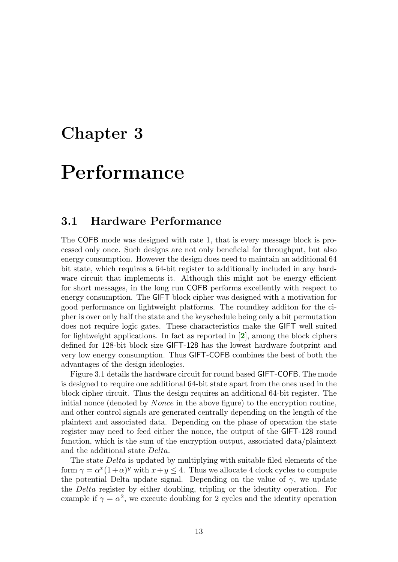# Performance

#### 3.1 Hardware Performance

The COFB mode was designed with rate 1, that is every message block is processed only once. Such designs are not only beneficial for throughput, but also energy consumption. However the design does need to maintain an additional 64 bit state, which requires a 64-bit register to additionally included in any hardware circuit that implements it. Although this might not be energy efficient for short messages, in the long run COFB performs excellently with respect to energy consumption. The GIFT block cipher was designed with a motivation for good performance on lightweight platforms. The roundkey additon for the cipher is over only half the state and the keyschedule being only a bit permutation does not require logic gates. These characteristics make the GIFT well suited for lightweight applications. In fact as reported in  $[2]$  $[2]$  $[2]$ , among the block ciphers defined for 128-bit block size GIFT-128 has the lowest hardware footprint and very low energy consumption. Thus GIFT-COFB combines the best of both the advantages of the design ideologies.

Figure 3.1 details the hardware circuit for round based GIFT-COFB. The mode is designed to require one additional 64-bit state apart from the ones used in the block cipher circuit. Thus the design requires an additional 64-bit register. The initial nonce (denoted by *Nonce* in the above figure) to the encryption routine, and other control signals are generated centrally depending on the length of the plaintext and associated data. Depending on the phase of operation the state register may need to feed either the nonce, the output of the GIFT-128 round function, which is the sum of the encryption output, associated data/plaintext and the additional state Delta.

The state Delta is updated by multiplying with suitable filed elements of the form  $\gamma = \alpha^x (1 + \alpha)^y$  with  $x + y \le 4$ . Thus we allocate 4 clock cycles to compute the potential Delta update signal. Depending on the value of  $\gamma$ , we update the Delta register by either doubling, tripling or the identity operation. For example if  $\gamma = \alpha^2$ , we execute doubling for 2 cycles and the identity operation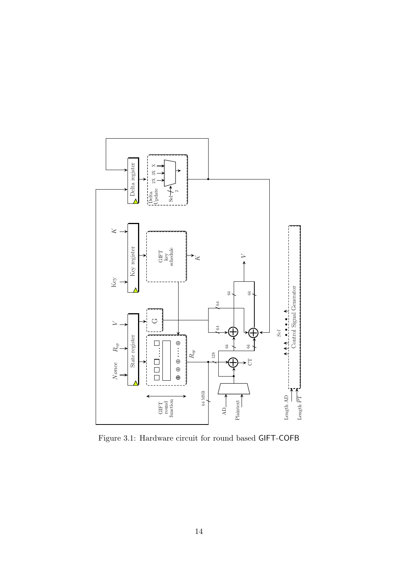

Figure 3.1: Hardware circuit for round based GIFT-COFB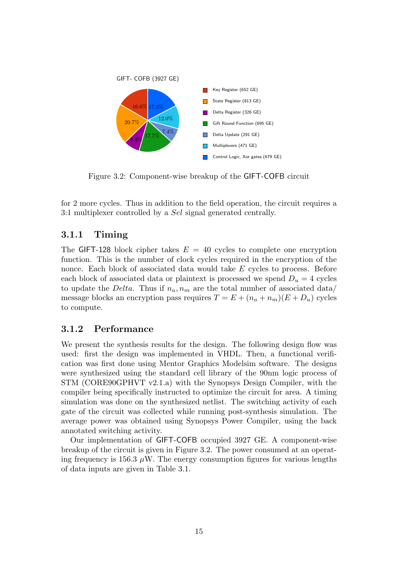

Figure 3.2: Component-wise breakup of the GIFT-COFB circuit

for 2 more cycles. Thus in addition to the field operation, the circuit requires a 3:1 multiplexer controlled by a Sel signal generated centrally.

### 3.1.1 Timing

The GIFT-128 block cipher takes  $E = 40$  cycles to complete one encryption function. This is the number of clock cycles required in the encryption of the nonce. Each block of associated data would take E cycles to process. Before each block of associated data or plaintext is processed we spend  $D_u = 4$  cycles to update the *Delta*. Thus if  $n_a, n_m$  are the total number of associated data/ message blocks an encryption pass requires  $T = E + (n_a + n_m)(E + D_u)$  cycles to compute.

#### 3.1.2 Performance

We present the synthesis results for the design. The following design flow was used: first the design was implemented in VHDL. Then, a functional verification was first done using Mentor Graphics Modelsim software. The designs were synthesized using the standard cell library of the 90nm logic process of STM (CORE90GPHVT v2.1.a) with the Synopsys Design Compiler, with the compiler being specifically instructed to optimize the circuit for area. A timing simulation was done on the synthesized netlist. The switching activity of each gate of the circuit was collected while running post-synthesis simulation. The average power was obtained using Synopsys Power Compiler, using the back annotated switching activity.

Our implementation of GIFT-COFB occupied 3927 GE. A component-wise breakup of the circuit is given in Figure 3.2. The power consumed at an operating frequency is 156.3  $\mu$ W. The energy consumption figures for various lengths of data inputs are given in Table 3.1.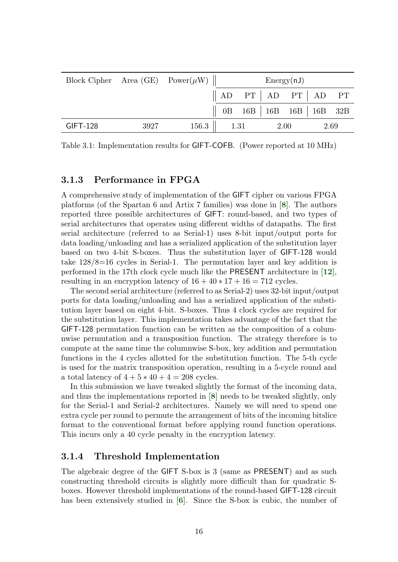| Block Cipher Area (GE) Power $(\mu W)$ |      |         | Energy(nJ) |  |      |                                             |      |  |  |
|----------------------------------------|------|---------|------------|--|------|---------------------------------------------|------|--|--|
|                                        |      |         |            |  |      | $\parallel$ AD PT $\mid$ AD PT $\mid$ AD PT |      |  |  |
|                                        |      |         |            |  |      | 0B 16B   16B 16B   16B 32B                  |      |  |  |
| $GIFT-128$                             | 3927 | $156.3$ | 1.31       |  | 2.00 |                                             | 2.69 |  |  |

Table 3.1: Implementation results for GIFT-COFB. (Power reported at 10 MHz)

#### 3.1.3 Performance in FPGA

A comprehensive study of implementation of the GIFT cipher on various FPGA platforms (of the Spartan 6 and Artix 7 families) was done in [[8](#page-0-0)]. The authors reported three possible architectures of GIFT: round-based, and two types of serial architectures that operates using different widths of datapaths. The first serial architecture (referred to as Serial-1) uses 8-bit input/output ports for data loading/unloading and has a serialized application of the substitution layer based on two 4-bit S-boxes. Thus the substitution layer of GIFT-128 would take 128/8=16 cycles in Serial-1. The permutation layer and key addition is performed in the 17th clock cycle much like the PRESENT architecture in  $[12]$  $[12]$  $[12]$ , resulting in an encryption latency of  $16 + 40 * 17 + 16 = 712$  cycles.

The second serial architecture (referred to as Serial-2) uses 32-bit input/output ports for data loading/unloading and has a serialized application of the substitution layer based on eight 4-bit. S-boxes. Thus 4 clock cycles are required for the substitution layer. This implementation takes advantage of the fact that the GIFT-128 permutation function can be written as the composition of a columnwise permutation and a transposition function. The strategy therefore is to compute at the same time the columnwise S-box, key addition and permutation functions in the 4 cycles allotted for the substitution function. The 5-th cycle is used for the matrix transposition operation, resulting in a 5-cycle round and a total latency of  $4 + 5 * 40 + 4 = 208$  cycles.

In this submission we have tweaked slightly the format of the incoming data, and thus the implementations reported in [[8](#page-0-0)] needs to be tweaked slightly, only for the Serial-1 and Serial-2 architectures. Namely we will need to spend one extra cycle per round to permute the arrangement of bits of the incoming bitslice format to the conventional format before applying round function operations. This incurs only a 40 cycle penalty in the encryption latency.

#### 3.1.4 Threshold Implementation

The algebraic degree of the GIFT S-box is 3 (same as PRESENT) and as such constructing threshold circuits is slightly more difficult than for quadratic Sboxes. However threshold implementations of the round-based GIFT-128 circuit has been extensively studied in [[6](#page-0-0)]. Since the S-box is cubic, the number of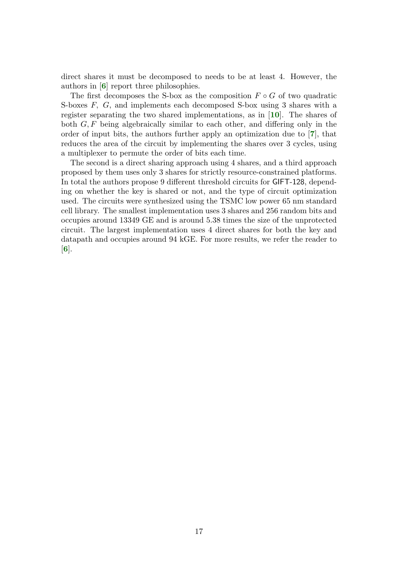direct shares it must be decomposed to needs to be at least 4. However, the authors in [[6](#page-0-0)] report three philosophies.

The first decomposes the S-box as the composition  $F \circ G$  of two quadratic S-boxes F, G, and implements each decomposed S-box using 3 shares with a register separating the two shared implementations, as in [[10](#page-0-0)]. The shares of both  $G, F$  being algebraically similar to each other, and differing only in the order of input bits, the authors further apply an optimization due to [[7](#page-0-0)], that reduces the area of the circuit by implementing the shares over 3 cycles, using a multiplexer to permute the order of bits each time.

The second is a direct sharing approach using 4 shares, and a third approach proposed by them uses only 3 shares for strictly resource-constrained platforms. In total the authors propose 9 different threshold circuits for GIFT-128, depending on whether the key is shared or not, and the type of circuit optimization used. The circuits were synthesized using the TSMC low power 65 nm standard cell library. The smallest implementation uses 3 shares and 256 random bits and occupies around 13349 GE and is around 5.38 times the size of the unprotected circuit. The largest implementation uses 4 direct shares for both the key and datapath and occupies around 94 kGE. For more results, we refer the reader to  $|6|$  $|6|$  $|6|$ .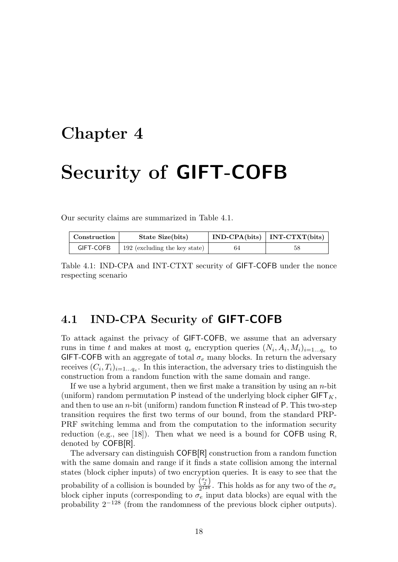# Security of GIFT-COFB

Our security claims are summarized in Table 4.1.

| Construction | State Size(bits)              |    | $IND-CPA(bits)   INT-CTXT(bits)$ |  |  |
|--------------|-------------------------------|----|----------------------------------|--|--|
| GIFT-COFB    | 192 (excluding the key state) | 64 | 58                               |  |  |

Table 4.1: IND-CPA and INT-CTXT security of GIFT-COFB under the nonce respecting scenario

### 4.1 IND-CPA Security of GIFT-COFB

To attack against the privacy of GIFT-COFB, we assume that an adversary runs in time t and makes at most  $q_e$  encryption queries  $(N_i, A_i, M_i)_{i=1...q_e}$  to GIFT-COFB with an aggregate of total  $\sigma_e$  many blocks. In return the adversary receives  $(C_i, T_i)_{i=1...q_e}$ . In this interaction, the adversary tries to distinguish the construction from a random function with the same domain and range.

If we use a hybrid argument, then we first make a transition by using an  $n$ -bit (uniform) random permutation  $P$  instead of the underlying block cipher  $GIFT<sub>K</sub>$ , and then to use an  $n$ -bit (uniform) random function R instead of P. This two-step transition requires the first two terms of our bound, from the standard PRP-PRF switching lemma and from the computation to the information security reduction (e.g., see [18]). Then what we need is a bound for COFB using R, denoted by COFB[R].

The adversary can distinguish COFB[R] construction from a random function with the same domain and range if it finds a state collision among the internal states (block cipher inputs) of two encryption queries. It is easy to see that the probability of a collision is bounded by  $\frac{\binom{\sigma_e}{2}}{2^{128}}$  $\frac{(2)}{2^{128}}$ . This holds as for any two of the  $\sigma_e$ block cipher inputs (corresponding to  $\sigma_e$  input data blocks) are equal with the probability  $2^{-128}$  (from the randomness of the previous block cipher outputs).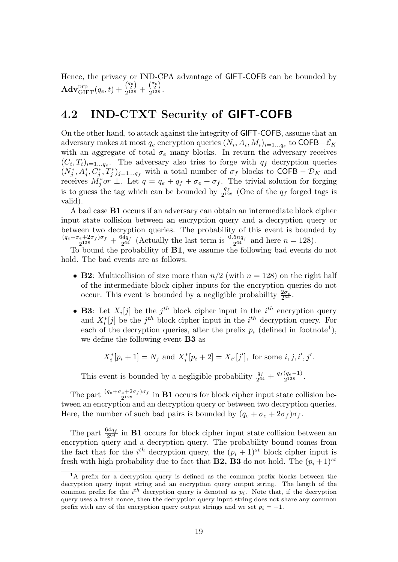Hence, the privacy or IND-CPA advantage of GIFT-COFB can be bounded by  $\mathbf{Adv}_{\mathrm{GIFT}}^{\mathrm{prp}}(q_e,t)+\frac{\binom{q_e}{2}}{2^{128}}$  $\frac{\binom{q_e}{2}}{2^{128}}+\frac{\binom{\sigma_e}{2}}{2^{128}}$  $\frac{(2)}{2^{128}}$ .

### 4.2 IND-CTXT Security of GIFT-COFB

On the other hand, to attack against the integrity of GIFT-COFB, assume that an adversary makes at most  $q_e$  encryption queries  $(N_i, A_i, M_i)_{i=1...q_e}$  to COFB- $\mathcal{E}_K$ with an aggregate of total  $\sigma_e$  many blocks. In return the adversary receives  $(C_i, T_i)_{i=1...q_e}$ . The adversary also tries to forge with  $q_f$  decryption queries  $(N_j^*, A_j^*, C_j^*, T_j^*)_{j=1...q_f}$  with a total number of  $\sigma_f$  blocks to COFB –  $\mathcal{D}_K$  and receives  $\vec{M}_j^*$  or  $\perp$ . Let  $q = q_e + q_f + \sigma_e + \sigma_f$ . The trivial solution for forging is to guess the tag which can be bounded by  $\frac{q_f}{2^{128}}$  (One of the  $q_f$  forged tags is valid).

A bad case B1 occurs if an adversary can obtain an intermediate block cipher input state collision between an encryption query and a decryption query or between two decryption queries. The probability of this event is bounded by  $(q_e+\sigma_e+2\sigma_f)\sigma_f$  $\frac{e+2\sigma_f\sigma_f}{2^{128}}+\frac{64q_f}{2^{64}}$  $\frac{34q_f}{2^{64}}$  (Actually the last term is  $\frac{0.5nq_f}{2^{64}}$  and here  $n = 128$ ).

To bound the probability of B1, we assume the following bad events do not hold. The bad events are as follows.

- **B2**: Multicollision of size more than  $n/2$  (with  $n = 128$ ) on the right half of the intermediate block cipher inputs for the encryption queries do not occur. This event is bounded by a negligible probability  $\frac{2\sigma_e}{2^{64}}$ .
- **B3**: Let  $X_i[j]$  be the  $j<sup>th</sup>$  block cipher input in the  $i<sup>th</sup>$  encryption query and  $X_i^*[j]$  be the  $j^{th}$  block cipher input in the  $i^{th}$  decryption query. For each of the decryption queries, after the prefix  $p_i$  (defined in footnote<sup>1</sup>), we define the following event B3 as

 $X_i^*[p_i + 1] = N_j$  and  $X_i^*[p_i + 2] = X_{i'}[j'],$  for some  $i, j, i', j'.$ 

This event is bounded by a negligible probability  $\frac{q_f}{2^{64}} + \frac{q_f(q_e-1)}{2^{128}}$  $\frac{(q_e-1)}{2^{128}}$ .

The part  $\frac{(q_e+\sigma_e+2\sigma_f)\sigma_f}{2^{128}}$  in **B1** occurs for block cipher input state collision between an encryption and an decryption query or between two decryption queries. Here, the number of such bad pairs is bounded by  $(q_e + \sigma_e + 2\sigma_f)\sigma_f$ .

The part  $\frac{64q_f}{2^{64}}$  in **B1** occurs for block cipher input state collision between an encryption query and a decryption query. The probability bound comes from the fact that for the  $i^{th}$  decryption query, the  $(p_i + 1)^{st}$  block cipher input is fresh with high probability due to fact that **B2**, **B3** do not hold. The  $(p_i + 1)^{st}$ 

<sup>&</sup>lt;sup>1</sup>A prefix for a decryption query is defined as the common prefix blocks between the decryption query input string and an encryption query output string. The length of the common prefix for the  $i<sup>th</sup>$  decryption query is denoted as  $p<sub>i</sub>$ . Note that, if the decryption query uses a fresh nonce, then the decryption query input string does not share any common prefix with any of the encryption query output strings and we set  $p_i = -1$ .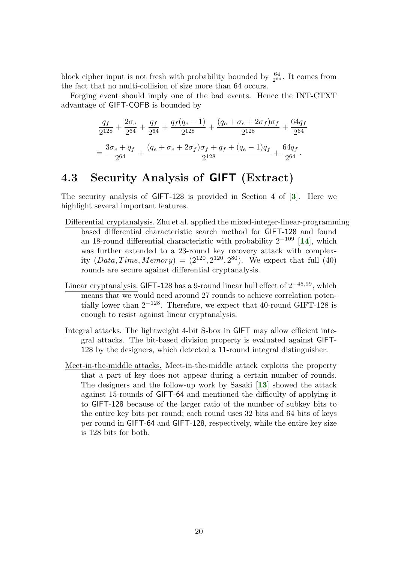block cipher input is not fresh with probability bounded by  $\frac{64}{2^{64}}$ . It comes from the fact that no multi-collision of size more than 64 occurs.

Forging event should imply one of the bad events. Hence the INT-CTXT advantage of GIFT-COFB is bounded by

$$
\frac{q_f}{2^{128}} + \frac{2\sigma_e}{2^{64}} + \frac{q_f}{2^{64}} + \frac{q_f(q_e - 1)}{2^{128}} + \frac{(q_e + \sigma_e + 2\sigma_f)\sigma_f}{2^{128}} + \frac{64q_f}{2^{64}}
$$

$$
= \frac{3\sigma_e + q_f}{2^{64}} + \frac{(q_e + \sigma_e + 2\sigma_f)\sigma_f + q_f + (q_e - 1)q_f}{2^{128}} + \frac{64q_f}{2^{64}}.
$$

### 4.3 Security Analysis of GIFT (Extract)

The security analysis of GIFT-128 is provided in Section 4 of [[3](#page-0-0)]. Here we highlight several important features.

- Differential cryptanalysis. Zhu et al. applied the mixed-integer-linear-programming based differential characteristic search method for GIFT-128 and found an 18-round differential characteristic with probability  $2^{-109}$  [[14](#page-0-0)], which was further extended to a 23-round key recovery attack with complexity  $(Data, Time, Memory) = (2^{120}, 2^{120}, 2^{80})$ . We expect that full (40) rounds are secure against differential cryptanalysis.
- Linear cryptanalysis. GIFT-128 has a 9-round linear hull effect of  $2^{-45.99}$ , which means that we would need around 27 rounds to achieve correlation potentially lower than  $2^{-128}$ . Therefore, we expect that 40-round GIFT-128 is enough to resist against linear cryptanalysis.
- Integral attacks. The lightweight 4-bit S-box in GIFT may allow efficient integral attacks. The bit-based division property is evaluated against GIFT-128 by the designers, which detected a 11-round integral distinguisher.
- Meet-in-the-middle attacks. Meet-in-the-middle attack exploits the property that a part of key does not appear during a certain number of rounds. The designers and the follow-up work by Sasaki [[13](#page-0-0)] showed the attack against 15-rounds of GIFT-64 and mentioned the difficulty of applying it to GIFT-128 because of the larger ratio of the number of subkey bits to the entire key bits per round; each round uses 32 bits and 64 bits of keys per round in GIFT-64 and GIFT-128, respectively, while the entire key size is 128 bits for both.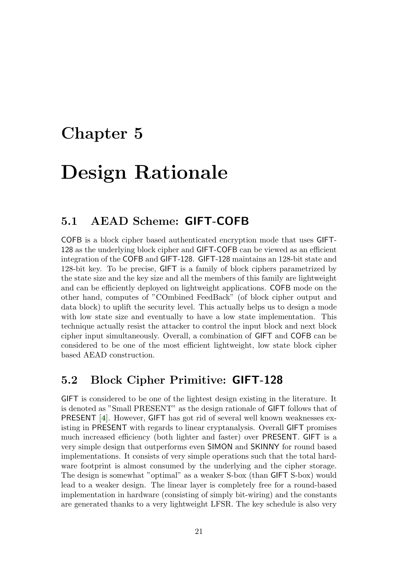# Design Rationale

### 5.1 AEAD Scheme: GIFT-COFB

COFB is a block cipher based authenticated encryption mode that uses GIFT-128 as the underlying block cipher and GIFT-COFB can be viewed as an efficient integration of the COFB and GIFT-128. GIFT-128 maintains an 128-bit state and 128-bit key. To be precise, GIFT is a family of block ciphers parametrized by the state size and the key size and all the members of this family are lightweight and can be efficiently deployed on lightweight applications. COFB mode on the other hand, computes of "COmbined FeedBack" (of block cipher output and data block) to uplift the security level. This actually helps us to design a mode with low state size and eventually to have a low state implementation. This technique actually resist the attacker to control the input block and next block cipher input simultaneously. Overall, a combination of GIFT and COFB can be considered to be one of the most efficient lightweight, low state block cipher based AEAD construction.

### 5.2 Block Cipher Primitive: GIFT-128

GIFT is considered to be one of the lightest design existing in the literature. It is denoted as "Small PRESENT" as the design rationale of GIFT follows that of PRESENT [[4](#page-0-0)]. However, GIFT has got rid of several well known weaknesses existing in PRESENT with regards to linear cryptanalysis. Overall GIFT promises much increased efficiency (both lighter and faster) over PRESENT. GIFT is a very simple design that outperforms even SIMON and SKINNY for round based implementations. It consists of very simple operations such that the total hardware footprint is almost consumed by the underlying and the cipher storage. The design is somewhat "optimal" as a weaker S-box (than GIFT S-box) would lead to a weaker design. The linear layer is completely free for a round-based implementation in hardware (consisting of simply bit-wiring) and the constants are generated thanks to a very lightweight LFSR. The key schedule is also very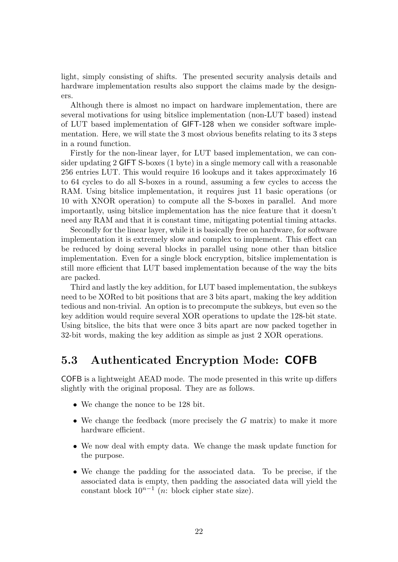light, simply consisting of shifts. The presented security analysis details and hardware implementation results also support the claims made by the designers.

Although there is almost no impact on hardware implementation, there are several motivations for using bitslice implementation (non-LUT based) instead of LUT based implementation of GIFT-128 when we consider software implementation. Here, we will state the 3 most obvious benefits relating to its 3 steps in a round function.

Firstly for the non-linear layer, for LUT based implementation, we can consider updating 2 GIFT S-boxes (1 byte) in a single memory call with a reasonable 256 entries LUT. This would require 16 lookups and it takes approximately 16 to 64 cycles to do all S-boxes in a round, assuming a few cycles to access the RAM. Using bitslice implementation, it requires just 11 basic operations (or 10 with XNOR operation) to compute all the S-boxes in parallel. And more importantly, using bitslice implementation has the nice feature that it doesn't need any RAM and that it is constant time, mitigating potential timing attacks.

Secondly for the linear layer, while it is basically free on hardware, for software implementation it is extremely slow and complex to implement. This effect can be reduced by doing several blocks in parallel using none other than bitslice implementation. Even for a single block encryption, bitslice implementation is still more efficient that LUT based implementation because of the way the bits are packed.

Third and lastly the key addition, for LUT based implementation, the subkeys need to be XORed to bit positions that are 3 bits apart, making the key addition tedious and non-trivial. An option is to precompute the subkeys, but even so the key addition would require several XOR operations to update the 128-bit state. Using bitslice, the bits that were once 3 bits apart are now packed together in 32-bit words, making the key addition as simple as just 2 XOR operations.

### 5.3 Authenticated Encryption Mode: COFB

COFB is a lightweight AEAD mode. The mode presented in this write up differs slightly with the original proposal. They are as follows.

- We change the nonce to be 128 bit.
- We change the feedback (more precisely the  $G$  matrix) to make it more hardware efficient.
- We now deal with empty data. We change the mask update function for the purpose.
- We change the padding for the associated data. To be precise, if the associated data is empty, then padding the associated data will yield the constant block  $10^{n-1}$  (*n*: block cipher state size).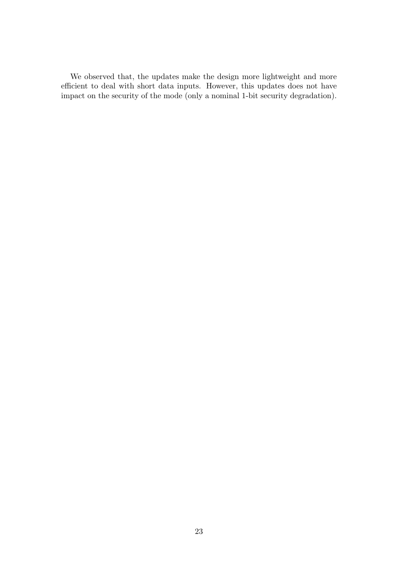We observed that, the updates make the design more lightweight and more efficient to deal with short data inputs. However, this updates does not have impact on the security of the mode (only a nominal 1-bit security degradation).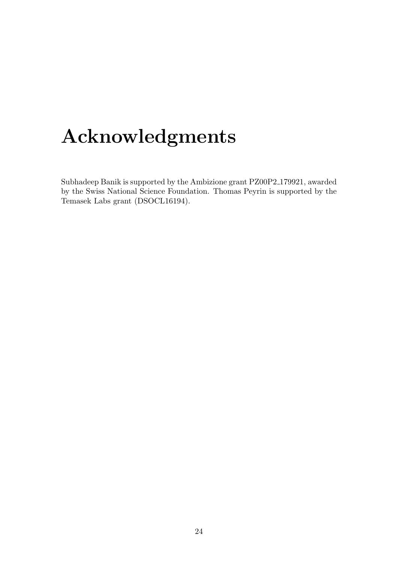# Acknowledgments

Subhadeep Banik is supported by the Ambizione grant PZ00P2 179921, awarded by the Swiss National Science Foundation. Thomas Peyrin is supported by the Temasek Labs grant (DSOCL16194).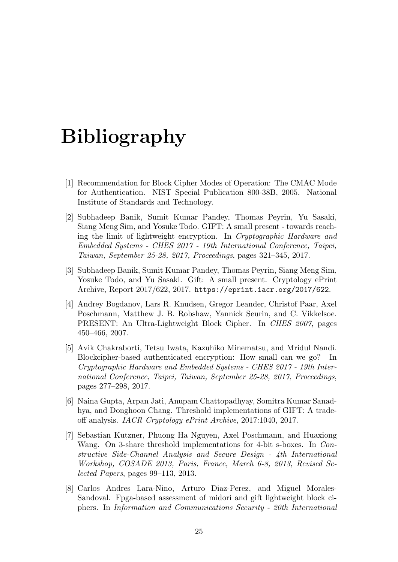# Bibliography

- [1] Recommendation for Block Cipher Modes of Operation: The CMAC Mode for Authentication. NIST Special Publication 800-38B, 2005. National Institute of Standards and Technology.
- [2] Subhadeep Banik, Sumit Kumar Pandey, Thomas Peyrin, Yu Sasaki, Siang Meng Sim, and Yosuke Todo. GIFT: A small present - towards reaching the limit of lightweight encryption. In Cryptographic Hardware and Embedded Systems - CHES 2017 - 19th International Conference, Taipei, Taiwan, September 25-28, 2017, Proceedings, pages 321–345, 2017.
- [3] Subhadeep Banik, Sumit Kumar Pandey, Thomas Peyrin, Siang Meng Sim, Yosuke Todo, and Yu Sasaki. Gift: A small present. Cryptology ePrint Archive, Report 2017/622, 2017. https://eprint.iacr.org/2017/622.
- [4] Andrey Bogdanov, Lars R. Knudsen, Gregor Leander, Christof Paar, Axel Poschmann, Matthew J. B. Robshaw, Yannick Seurin, and C. Vikkelsoe. PRESENT: An Ultra-Lightweight Block Cipher. In CHES 2007, pages 450–466, 2007.
- [5] Avik Chakraborti, Tetsu Iwata, Kazuhiko Minematsu, and Mridul Nandi. Blockcipher-based authenticated encryption: How small can we go? In Cryptographic Hardware and Embedded Systems - CHES 2017 - 19th International Conference, Taipei, Taiwan, September 25-28, 2017, Proceedings, pages 277–298, 2017.
- [6] Naina Gupta, Arpan Jati, Anupam Chattopadhyay, Somitra Kumar Sanadhya, and Donghoon Chang. Threshold implementations of GIFT: A tradeoff analysis. IACR Cryptology ePrint Archive, 2017:1040, 2017.
- [7] Sebastian Kutzner, Phuong Ha Nguyen, Axel Poschmann, and Huaxiong Wang. On 3-share threshold implementations for 4-bit s-boxes. In Constructive Side-Channel Analysis and Secure Design - 4th International Workshop, COSADE 2013, Paris, France, March 6-8, 2013, Revised Selected Papers, pages 99–113, 2013.
- [8] Carlos Andres Lara-Nino, Arturo Diaz-Perez, and Miguel Morales-Sandoval. Fpga-based assessment of midori and gift lightweight block ciphers. In Information and Communications Security - 20th International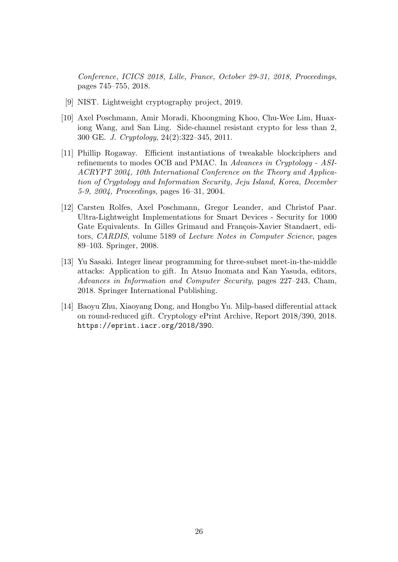Conference, ICICS 2018, Lille, France, October 29-31, 2018, Proceedings, pages 745–755, 2018.

- [9] NIST. Lightweight cryptography project, 2019.
- [10] Axel Poschmann, Amir Moradi, Khoongming Khoo, Chu-Wee Lim, Huaxiong Wang, and San Ling. Side-channel resistant crypto for less than 2, 300 GE. J. Cryptology, 24(2):322–345, 2011.
- [11] Phillip Rogaway. Efficient instantiations of tweakable blockciphers and refinements to modes OCB and PMAC. In Advances in Cryptology - ASI-ACRYPT 2004, 10th International Conference on the Theory and Application of Cryptology and Information Security, Jeju Island, Korea, December 5-9, 2004, Proceedings, pages 16–31, 2004.
- [12] Carsten Rolfes, Axel Poschmann, Gregor Leander, and Christof Paar. Ultra-Lightweight Implementations for Smart Devices - Security for 1000 Gate Equivalents. In Gilles Grimaud and François-Xavier Standaert, editors, CARDIS, volume 5189 of Lecture Notes in Computer Science, pages 89–103. Springer, 2008.
- [13] Yu Sasaki. Integer linear programming for three-subset meet-in-the-middle attacks: Application to gift. In Atsuo Inomata and Kan Yasuda, editors, Advances in Information and Computer Security, pages 227–243, Cham, 2018. Springer International Publishing.
- [14] Baoyu Zhu, Xiaoyang Dong, and Hongbo Yu. Milp-based differential attack on round-reduced gift. Cryptology ePrint Archive, Report 2018/390, 2018. https://eprint.iacr.org/2018/390.